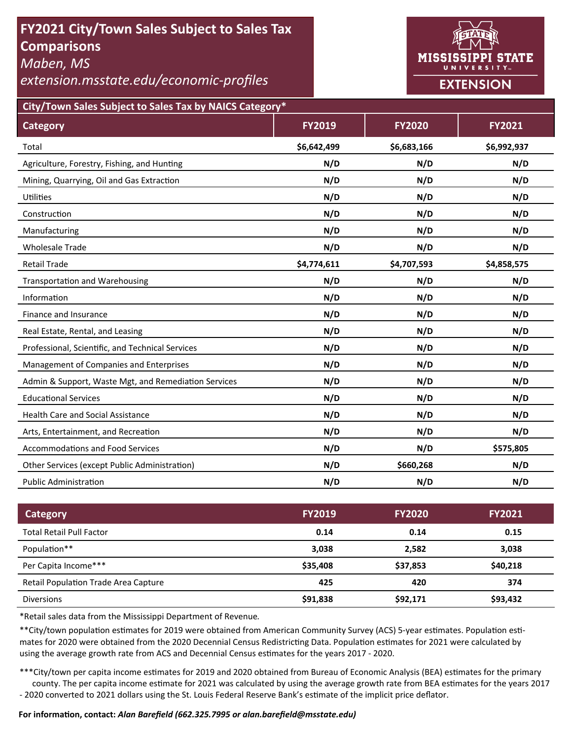# **FY2021 City/Town Sales Subject to Sales Tax Comparisons**

*Maben, MS* 

*extension.msstate.edu/economic‐profiles* 



**City/Town Sales Subject to Sales Tax by NAICS Category\***

| <b>Category</b>                                      | <b>FY2019</b> | <b>FY2020</b> | FY2021      |
|------------------------------------------------------|---------------|---------------|-------------|
| Total                                                | \$6,642,499   | \$6,683,166   | \$6,992,937 |
| Agriculture, Forestry, Fishing, and Hunting          | N/D           | N/D           | N/D         |
| Mining, Quarrying, Oil and Gas Extraction            | N/D           | N/D           | N/D         |
| Utilities                                            | N/D           | N/D           | N/D         |
| Construction                                         | N/D           | N/D           | N/D         |
| Manufacturing                                        | N/D           | N/D           | N/D         |
| <b>Wholesale Trade</b>                               | N/D           | N/D           | N/D         |
| <b>Retail Trade</b>                                  | \$4,774,611   | \$4,707,593   | \$4,858,575 |
| <b>Transportation and Warehousing</b>                | N/D           | N/D           | N/D         |
| Information                                          | N/D           | N/D           | N/D         |
| Finance and Insurance                                | N/D           | N/D           | N/D         |
| Real Estate, Rental, and Leasing                     | N/D           | N/D           | N/D         |
| Professional, Scientific, and Technical Services     | N/D           | N/D           | N/D         |
| Management of Companies and Enterprises              | N/D           | N/D           | N/D         |
| Admin & Support, Waste Mgt, and Remediation Services | N/D           | N/D           | N/D         |
| <b>Educational Services</b>                          | N/D           | N/D           | N/D         |
| <b>Health Care and Social Assistance</b>             | N/D           | N/D           | N/D         |
| Arts, Entertainment, and Recreation                  | N/D           | N/D           | N/D         |
| <b>Accommodations and Food Services</b>              | N/D           | N/D           | \$575,805   |
| Other Services (except Public Administration)        | N/D           | \$660,268     | N/D         |
| <b>Public Administration</b>                         | N/D           | N/D           | N/D         |

| <b>Category</b>                             | <b>FY2019</b> | <b>FY2020</b> | <b>FY2021</b> |
|---------------------------------------------|---------------|---------------|---------------|
| <b>Total Retail Pull Factor</b>             | 0.14          | 0.14          | 0.15          |
| Population**                                | 3,038         | 2.582         | 3,038         |
| Per Capita Income***                        | \$35,408      | \$37,853      | \$40,218      |
| <b>Retail Population Trade Area Capture</b> | 425           | 420           | 374           |
| <b>Diversions</b>                           | \$91,838      | \$92,171      | \$93,432      |

\*Retail sales data from the Mississippi Department of Revenue*.* 

\*\*City/town population estimates for 2019 were obtained from American Community Survey (ACS) 5-year estimates. Population estimates for 2020 were obtained from the 2020 Decennial Census Redistricting Data. Population estimates for 2021 were calculated by using the average growth rate from ACS and Decennial Census estimates for the years 2017 - 2020.

\*\*\*City/town per capita income estimates for 2019 and 2020 obtained from Bureau of Economic Analysis (BEA) estimates for the primary county. The per capita income estimate for 2021 was calculated by using the average growth rate from BEA estimates for the years 2017 - 2020 converted to 2021 dollars using the St. Louis Federal Reserve Bank's estimate of the implicit price deflator.

### **For informaƟon, contact:** *Alan Barefield (662.325.7995 or alan.barefield@msstate.edu)*